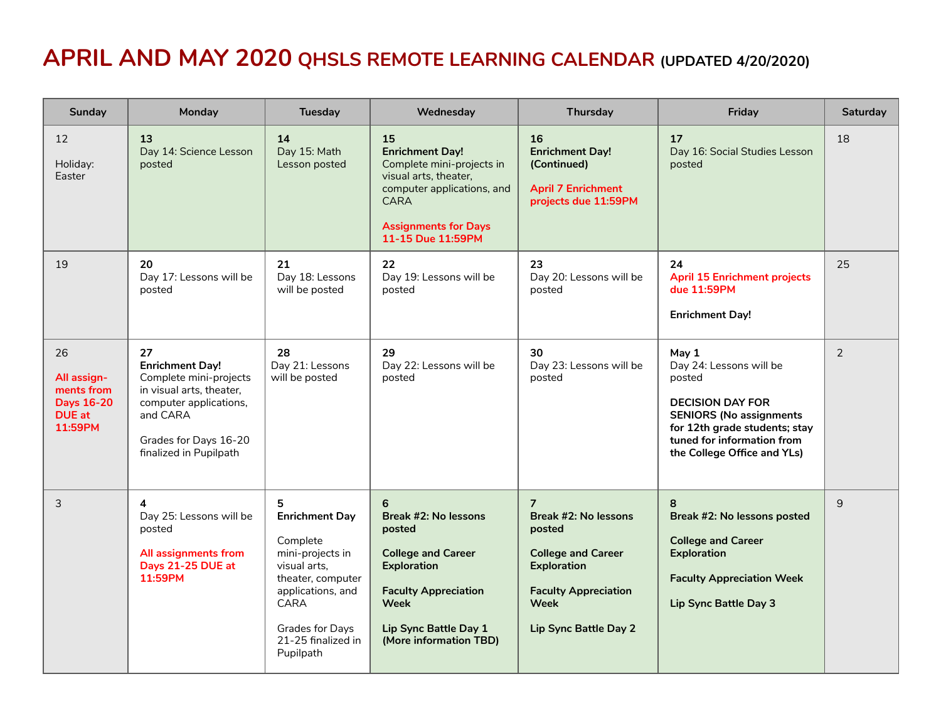## **APRIL AND MAY 2020 QHSLS REMOTE LEARNING CALENDAR (UPDATED 4/20/2020)**

| Sunday                                                                           | Monday                                                                                                                                                                      | Tuesday                                                                                                                                                                                   | Wednesday                                                                                                                                                                               | Thursday                                                                                                                                                                   | Friday                                                                                                                                                                                                | Saturday |
|----------------------------------------------------------------------------------|-----------------------------------------------------------------------------------------------------------------------------------------------------------------------------|-------------------------------------------------------------------------------------------------------------------------------------------------------------------------------------------|-----------------------------------------------------------------------------------------------------------------------------------------------------------------------------------------|----------------------------------------------------------------------------------------------------------------------------------------------------------------------------|-------------------------------------------------------------------------------------------------------------------------------------------------------------------------------------------------------|----------|
| 12<br>Holiday:<br>Easter                                                         | 13<br>Day 14: Science Lesson<br>posted                                                                                                                                      | 14<br>Day 15: Math<br>Lesson posted                                                                                                                                                       | 15<br><b>Enrichment Day!</b><br>Complete mini-projects in<br>visual arts, theater,<br>computer applications, and<br><b>CARA</b><br><b>Assignments for Days</b><br>11-15 Due 11:59PM     | 16<br><b>Enrichment Day!</b><br>(Continued)<br><b>April 7 Enrichment</b><br>projects due 11:59PM                                                                           | 17<br>Day 16: Social Studies Lesson<br>posted                                                                                                                                                         | 18       |
| 19                                                                               | 20<br>Day 17: Lessons will be<br>posted                                                                                                                                     | 21<br>Day 18: Lessons<br>will be posted                                                                                                                                                   | 22<br>Day 19: Lessons will be<br>posted                                                                                                                                                 | 23<br>Day 20: Lessons will be<br>posted                                                                                                                                    | 24<br><b>April 15 Enrichment projects</b><br>due 11:59PM<br><b>Enrichment Day!</b>                                                                                                                    | 25       |
| 26<br>All assign-<br>ments from<br><b>Days 16-20</b><br><b>DUE</b> at<br>11:59PM | 27<br><b>Enrichment Day!</b><br>Complete mini-projects<br>in visual arts, theater,<br>computer applications,<br>and CARA<br>Grades for Days 16-20<br>finalized in Pupilpath | 28<br>Day 21: Lessons<br>will be posted                                                                                                                                                   | 29<br>Day 22: Lessons will be<br>posted                                                                                                                                                 | 30<br>Day 23: Lessons will be<br>posted                                                                                                                                    | May 1<br>Day 24: Lessons will be<br>posted<br><b>DECISION DAY FOR</b><br><b>SENIORS (No assignments</b><br>for 12th grade students; stay<br>tuned for information from<br>the College Office and YLs) | 2        |
| 3                                                                                | 4<br>Day 25: Lessons will be<br>posted<br>All assignments from<br>Days 21-25 DUE at<br>11:59PM                                                                              | 5<br><b>Enrichment Day</b><br>Complete<br>mini-projects in<br>visual arts,<br>theater, computer<br>applications, and<br>CARA<br><b>Grades for Days</b><br>21-25 finalized in<br>Pupilpath | 6<br>Break #2: No lessons<br>posted<br><b>College and Career</b><br><b>Exploration</b><br><b>Faculty Appreciation</b><br><b>Week</b><br>Lip Sync Battle Day 1<br>(More information TBD) | $\overline{7}$<br>Break #2: No lessons<br>posted<br><b>College and Career</b><br><b>Exploration</b><br><b>Faculty Appreciation</b><br><b>Week</b><br>Lip Sync Battle Day 2 | 8<br>Break #2: No lessons posted<br><b>College and Career</b><br><b>Exploration</b><br><b>Faculty Appreciation Week</b><br>Lip Sync Battle Day 3                                                      | 9        |